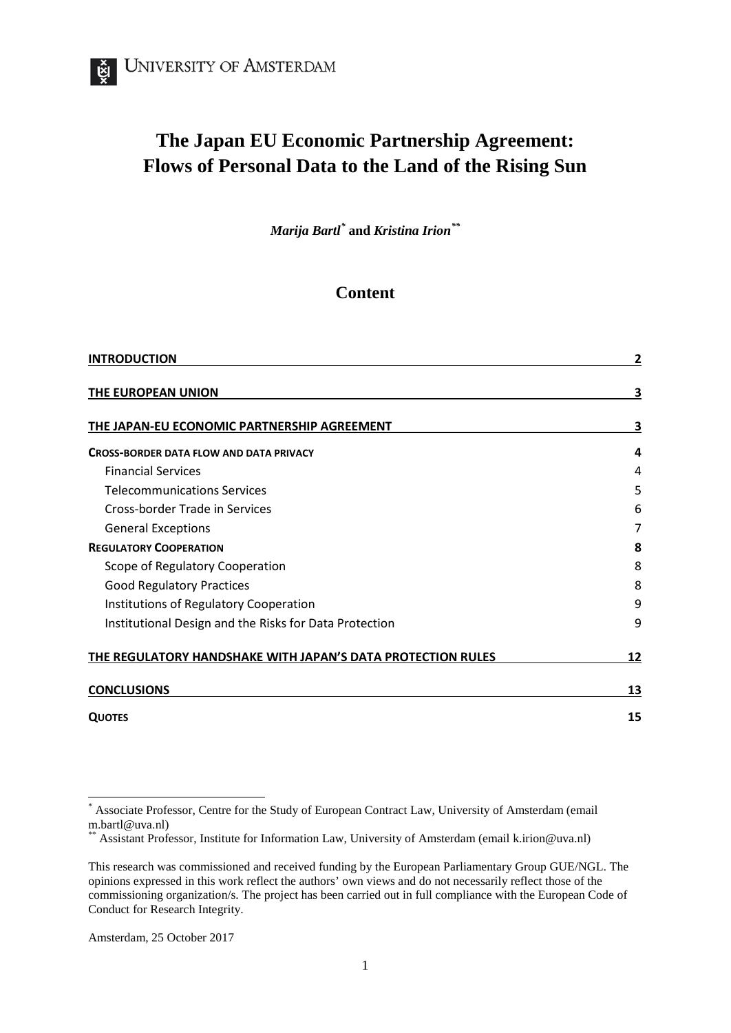# **The Japan EU Economic Partnership Agreement: Flows of Personal Data to the Land of the Rising Sun**

*Marija Bartl[\\*](#page-0-0)* **and** *Kristina Irion[\\*\\*](#page-0-1)*

### **Content**

| <b>INTRODUCTION</b>                                         | 2  |
|-------------------------------------------------------------|----|
| THE EUROPEAN UNION                                          | 3  |
| THE JAPAN-EU ECONOMIC PARTNERSHIP AGREEMENT                 | 3  |
| <b>CROSS-BORDER DATA FLOW AND DATA PRIVACY</b>              | 4  |
| <b>Financial Services</b>                                   | 4  |
| <b>Telecommunications Services</b>                          | 5  |
| Cross-border Trade in Services                              | 6  |
| <b>General Exceptions</b>                                   |    |
| <b>REGULATORY COOPERATION</b>                               | 8  |
| Scope of Regulatory Cooperation                             | 8  |
| <b>Good Regulatory Practices</b>                            | 8  |
| Institutions of Regulatory Cooperation                      | 9  |
| Institutional Design and the Risks for Data Protection      | 9  |
| THE REGULATORY HANDSHAKE WITH JAPAN'S DATA PROTECTION RULES | 12 |
| <b>CONCLUSIONS</b>                                          | 13 |
| <b>QUOTES</b>                                               | 15 |

<span id="page-0-0"></span>Associate Professor, Centre for the Study of European Contract Law, University of Amsterdam (email m.bartl@uva.nl)

<span id="page-0-1"></span>Assistant Professor, Institute for Information Law, University of Amsterdam (email k.irion@uva.nl)

This research was commissioned and received funding by the European Parliamentary Group GUE/NGL. The opinions expressed in this work reflect the authors' own views and do not necessarily reflect those of the commissioning organization/s. The project has been carried out in full compliance with the European Code of Conduct for Research Integrity.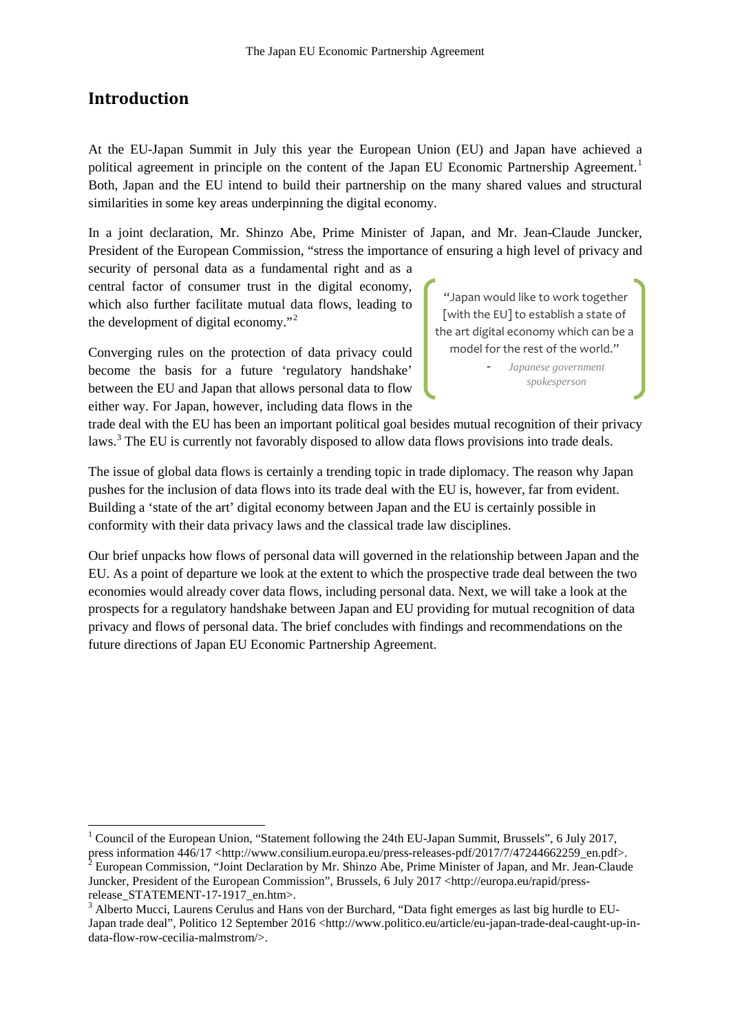### **Introduction**

At the EU-Japan Summit in July this year the European Union (EU) and Japan have achieved a political agreement in principle on the content of the Japan EU Economic Partnership Agreement.<sup>[1](#page-1-0)</sup> Both, Japan and the EU intend to build their partnership on the many shared values and structural similarities in some key areas underpinning the digital economy.

In a joint declaration, Mr. Shinzo Abe, Prime Minister of Japan, and Mr. Jean-Claude Juncker, President of the European Commission, "stress the importance of ensuring a high level of privacy and

security of personal data as a fundamental right and as a central factor of consumer trust in the digital economy, which also further facilitate mutual data flows, leading to the development of digital economy."[2](#page-1-1)

Converging rules on the protection of data privacy could become the basis for a future 'regulatory handshake' between the EU and Japan that allows personal data to flow either way. For Japan, however, including data flows in the

"Japan would like to work together [with the EU] to establish a state of the art digital economy which can be a model for the rest of the world."

> - *Japanese government spokesperson*

trade deal with the EU has been an important political goal besides mutual recognition of their privacy laws.<sup>[3](#page-1-2)</sup> The EU is currently not favorably disposed to allow data flows provisions into trade deals.

The issue of global data flows is certainly a trending topic in trade diplomacy. The reason why Japan pushes for the inclusion of data flows into its trade deal with the EU is, however, far from evident. Building a 'state of the art' digital economy between Japan and the EU is certainly possible in conformity with their data privacy laws and the classical trade law disciplines.

Our brief unpacks how flows of personal data will governed in the relationship between Japan and the EU. As a point of departure we look at the extent to which the prospective trade deal between the two economies would already cover data flows, including personal data. Next, we will take a look at the prospects for a regulatory handshake between Japan and EU providing for mutual recognition of data privacy and flows of personal data. The brief concludes with findings and recommendations on the future directions of Japan EU Economic Partnership Agreement.

<span id="page-1-0"></span> <sup>1</sup> Council of the European Union, "Statement following the 24th EU-Japan Summit, Brussels", 6 July 2017, press information 446/17 <http://www.consilium.europa.eu/press-releases-pdf/2017/7/47244662259\_en.pdf>.<br><sup>2</sup> European Commission, "Joint Declaration by Mr. Shinzo Abe, Prime Minister of Japan, and Mr. Jean-Claude

<span id="page-1-1"></span>Juncker, President of the European Commission", Brussels, 6 July 2017 <http://europa.eu/rapid/press-

<span id="page-1-2"></span>release\_STATEMENT-17-1917\_en.htm>.<br><sup>3</sup> Alberto Mucci, Laurens Cerulus and Hans von der Burchard, "Data fight emerges as last big hurdle to EU-Japan trade deal", Politico 12 September 2016 <http://www.politico.eu/article/eu-japan-trade-deal-caught-up-indata-flow-row-cecilia-malmstrom/>.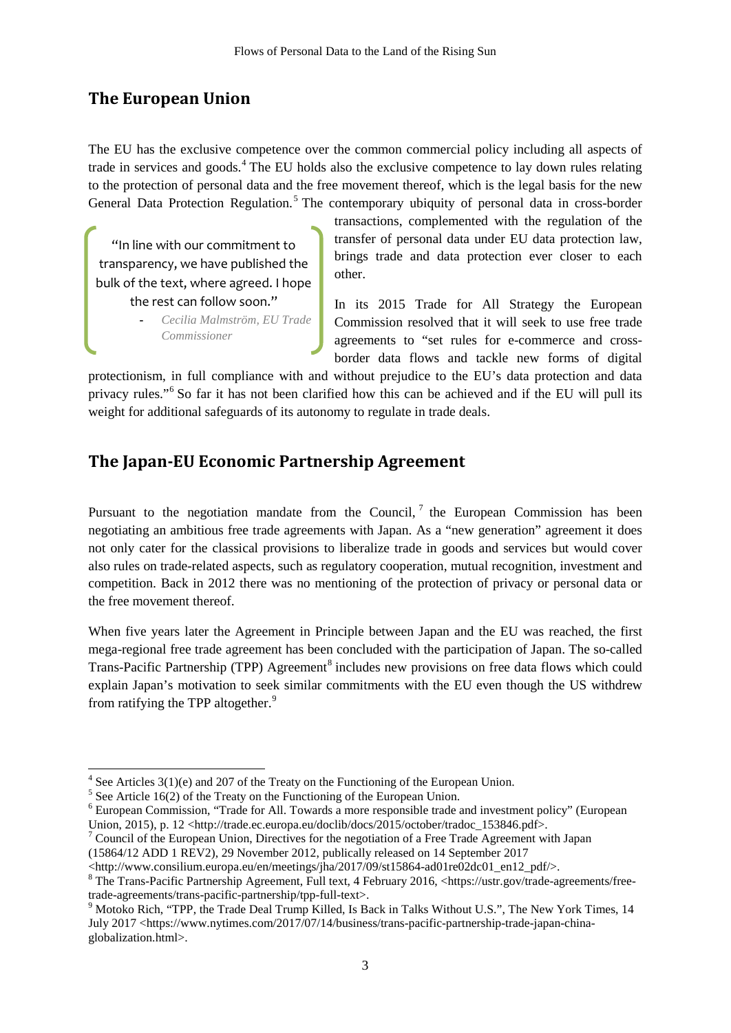# **The European Union**

The EU has the exclusive competence over the common commercial policy including all aspects of trade in services and goods. [4](#page-2-0) The EU holds also the exclusive competence to lay down rules relating to the protection of personal data and the free movement thereof, which is the legal basis for the new General Data Protection Regulation.<sup>[5](#page-2-1)</sup> The contemporary ubiquity of personal data in cross-border

"In line with our commitment to transparency, we have published the bulk of the text, where agreed. I hope the rest can follow soon."

> **-** *Cecilia Malmström, EU Trade Commissioner*

transactions, complemented with the regulation of the transfer of personal data under EU data protection law, brings trade and data protection ever closer to each other.

In its 2015 Trade for All Strategy the European Commission resolved that it will seek to use free trade agreements to "set rules for e-commerce and crossborder data flows and tackle new forms of digital

protectionism, in full compliance with and without prejudice to the EU's data protection and data privacy rules."[6](#page-2-2) So far it has not been clarified how this can be achieved and if the EU will pull its weight for additional safeguards of its autonomy to regulate in trade deals.

# **The Japan-EU Economic Partnership Agreement**

Pursuant to the negotiation mandate from the Council,  $\overline{a}$  the European Commission has been negotiating an ambitious free trade agreements with Japan. As a "new generation" agreement it does not only cater for the classical provisions to liberalize trade in goods and services but would cover also rules on trade-related aspects, such as regulatory cooperation, mutual recognition, investment and competition. Back in 2012 there was no mentioning of the protection of privacy or personal data or the free movement thereof.

When five years later the Agreement in Principle between Japan and the EU was reached, the first mega-regional free trade agreement has been concluded with the participation of Japan. The so-called Trans-Pacific Partnership (TPP) Agreement<sup>[8](#page-2-4)</sup> includes new provisions on free data flows which could explain Japan's motivation to seek similar commitments with the EU even though the US withdrew from ratifying the TPP altogether.<sup>[9](#page-2-5)</sup>

 $4$  See Articles 3(1)(e) and 207 of the Treaty on the Functioning of the European Union.

<span id="page-2-1"></span><span id="page-2-0"></span><sup>&</sup>lt;sup>5</sup> See Article 16(2) of the Treaty on the Functioning of the European Union.

<span id="page-2-2"></span><sup>6</sup> European Commission, "Trade for All. Towards a more responsible trade and investment policy" (European Union, 2015), p. 12 <http://trade.ec.europa.eu/doclib/docs/2015/october/tradoc\_153846.pdf>.

<span id="page-2-3"></span> $7$  Council of the European Union, Directives for the negotiation of a Free Trade Agreement with Japan

<sup>(15864/12</sup> ADD 1 REV2), 29 November 2012, publically released on 14 September 2017<br>  $\langle$ http://www.consilium.europa.eu/en/meetings/jha/2017/09/st15864-ad01re02dc01 en12 pdf/>.

<span id="page-2-4"></span> $^8$ The Trans-Pacific Partnership Agreement, Full text, 4 February 2016, <https://ustr.gov/trade-agreements/free-trade-agreements/trans-pacific-partnership/tpp-full-text>.

<span id="page-2-5"></span> $9$  Motoko Rich, "TPP, the Trade Deal Trump Killed, Is Back in Talks Without U.S.", The New York Times, 14 July 2017 <https://www.nytimes.com/2017/07/14/business/trans-pacific-partnership-trade-japan-chinaglobalization.html>.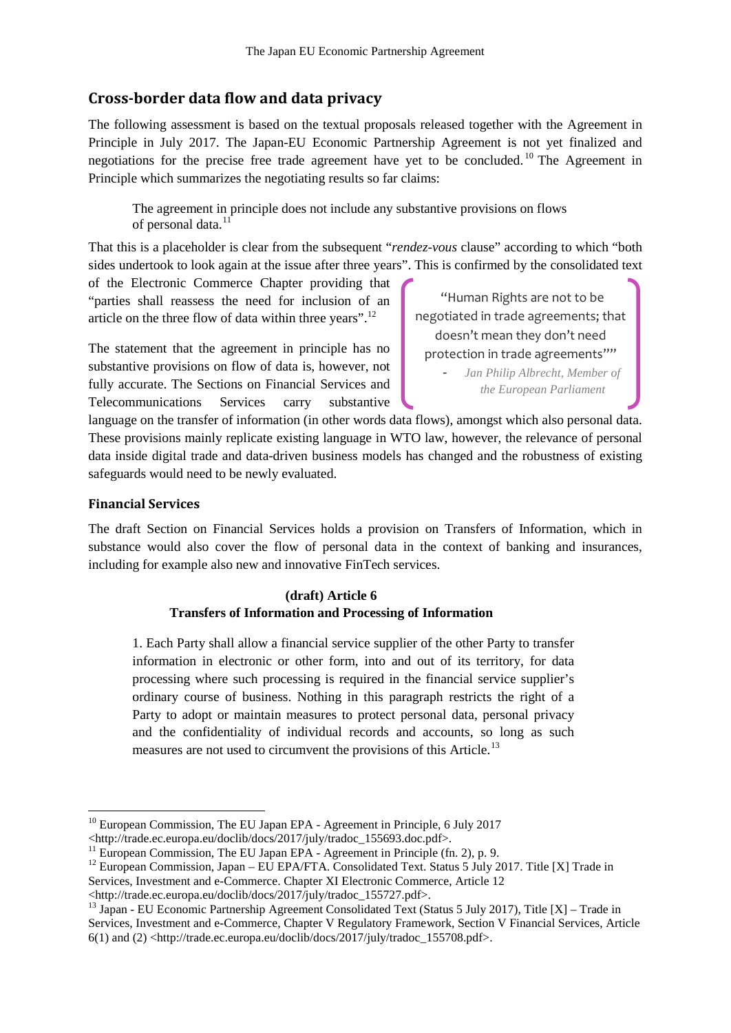#### **Cross-border data flow and data privacy**

The following assessment is based on the textual proposals released together with the Agreement in Principle in July 2017. The Japan-EU Economic Partnership Agreement is not yet finalized and negotiations for the precise free trade agreement have yet to be concluded.<sup>[10](#page-3-0)</sup> The Agreement in Principle which summarizes the negotiating results so far claims:

The agreement in principle does not include any substantive provisions on flows of personal data.<sup>[11](#page-3-1)</sup>

That this is a placeholder is clear from the subsequent "*rendez-vous* clause" according to which "both sides undertook to look again at the issue after three years". This is confirmed by the consolidated text

of the Electronic Commerce Chapter providing that "parties shall reassess the need for inclusion of an article on the three flow of data within three years". $^{12}$  $^{12}$  $^{12}$ 

The statement that the agreement in principle has no substantive provisions on flow of data is, however, not fully accurate. The Sections on Financial Services and Telecommunications Services carry substantive

"Human Rights are not to be negotiated in trade agreements; that doesn't mean they don't need protection in trade agreements""

- *Jan Philip Albrecht, Member of the European Parliament*

language on the transfer of information (in other words data flows), amongst which also personal data. These provisions mainly replicate existing language in WTO law, however, the relevance of personal data inside digital trade and data-driven business models has changed and the robustness of existing safeguards would need to be newly evaluated.

#### **Financial Services**

The draft Section on Financial Services holds a provision on Transfers of Information, which in substance would also cover the flow of personal data in the context of banking and insurances, including for example also new and innovative FinTech services.

#### **(draft) Article 6 Transfers of Information and Processing of Information**

1. Each Party shall allow a financial service supplier of the other Party to transfer information in electronic or other form, into and out of its territory, for data processing where such processing is required in the financial service supplier's ordinary course of business. Nothing in this paragraph restricts the right of a Party to adopt or maintain measures to protect personal data, personal privacy and the confidentiality of individual records and accounts, so long as such measures are not used to circumvent the provisions of this Article.<sup>[13](#page-3-3)</sup>

<http://trade.ec.europa.eu/doclib/docs/2017/july/tradoc\_155727.pdf>. <sup>13</sup> Japan - EU Economic Partnership Agreement Consolidated Text (Status 5 July 2017), Title [X] – Trade in

<span id="page-3-3"></span>Services, Investment and e-Commerce, Chapter V Regulatory Framework, Section V Financial Services, Article  $6(1)$  and  $(2)$  <http://trade.ec.europa.eu/doclib/docs/2017/july/tradoc\_155708.pdf>.

<sup>&</sup>lt;sup>10</sup> European Commission, The EU Japan EPA - Agreement in Principle, 6 July 2017

<span id="page-3-0"></span><sup>&</sup>lt;http://trade.ec.europa.eu/doclib/docs/2017/july/tradoc\_155693.doc.pdf>.<br>
<sup>11</sup> European Commission, The EU Japan EPA - Agreement in Principle (fn. 2), p. 9.

<span id="page-3-2"></span><span id="page-3-1"></span><sup>&</sup>lt;sup>12</sup> European Commission, Japan – EU EPA/FTA. Consolidated Text. Status 5 July 2017. Title [X] Trade in Services, Investment and e-Commerce. Chapter XI Electronic Commerce, Article 12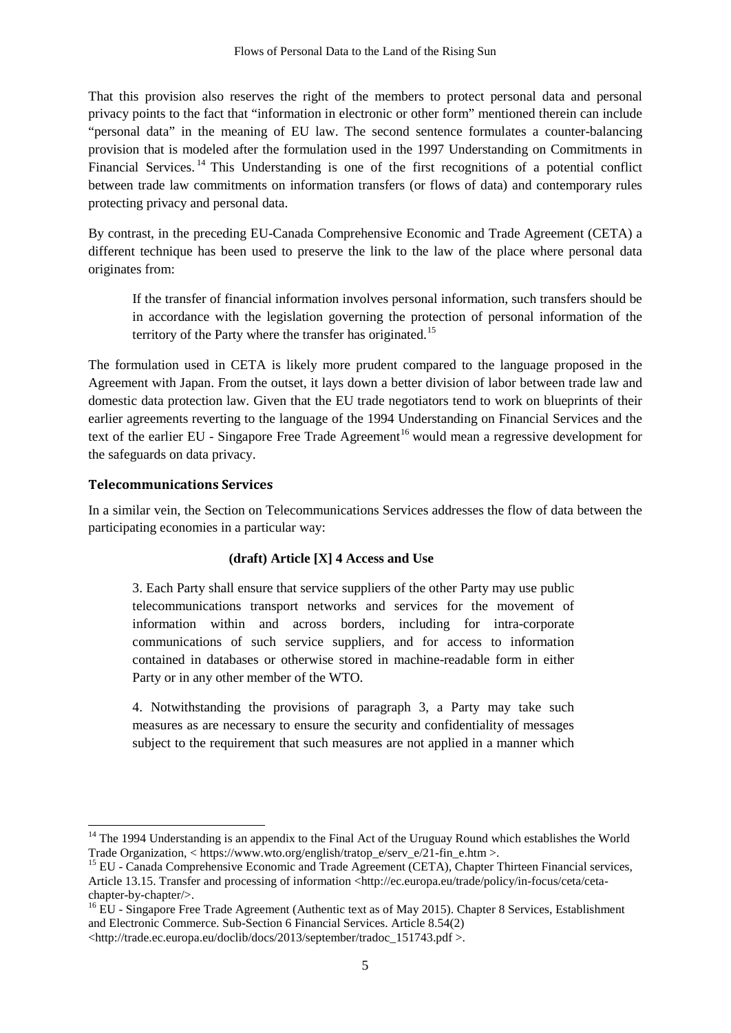That this provision also reserves the right of the members to protect personal data and personal privacy points to the fact that "information in electronic or other form" mentioned therein can include "personal data" in the meaning of EU law. The second sentence formulates a counter-balancing provision that is modeled after the formulation used in the 1997 Understanding on Commitments in Financial Services.<sup>[14](#page-4-0)</sup> This Understanding is one of the first recognitions of a potential conflict between trade law commitments on information transfers (or flows of data) and contemporary rules protecting privacy and personal data.

By contrast, in the preceding EU-Canada Comprehensive Economic and Trade Agreement (CETA) a different technique has been used to preserve the link to the law of the place where personal data originates from:

If the transfer of financial information involves personal information, such transfers should be in accordance with the legislation governing the protection of personal information of the territory of the Party where the transfer has originated.<sup>[15](#page-4-1)</sup>

The formulation used in CETA is likely more prudent compared to the language proposed in the Agreement with Japan. From the outset, it lays down a better division of labor between trade law and domestic data protection law. Given that the EU trade negotiators tend to work on blueprints of their earlier agreements reverting to the language of the 1994 Understanding on Financial Services and the text of the earlier EU - Singapore Free Trade Agreement<sup>[16](#page-4-2)</sup> would mean a regressive development for the safeguards on data privacy.

#### **Telecommunications Services**

In a similar vein, the Section on Telecommunications Services addresses the flow of data between the participating economies in a particular way:

#### **(draft) Article [X] 4 Access and Use**

3. Each Party shall ensure that service suppliers of the other Party may use public telecommunications transport networks and services for the movement of information within and across borders, including for intra-corporate communications of such service suppliers, and for access to information contained in databases or otherwise stored in machine-readable form in either Party or in any other member of the WTO.

4. Notwithstanding the provisions of paragraph 3, a Party may take such measures as are necessary to ensure the security and confidentiality of messages subject to the requirement that such measures are not applied in a manner which

<span id="page-4-0"></span><sup>&</sup>lt;sup>14</sup> The 1994 Understanding is an appendix to the Final Act of the Uruguay Round which establishes the World Trade Organization, < https://www.wto.org/english/tratop\_e/serv\_e/21-fin\_e.htm >.

<span id="page-4-1"></span><sup>&</sup>lt;sup>15</sup> EU - Canada Comprehensive Economic and Trade Agreement (CETA), Chapter Thirteen Financial services, Article 13.15. Transfer and processing of information <http://ec.europa.eu/trade/policy/in-focus/ceta/ceta-

<span id="page-4-2"></span>chapter-by-chapter/>.<br><sup>16</sup> EU - Singapore Free Trade Agreement (Authentic text as of May 2015). Chapter 8 Services, Establishment and Electronic Commerce. Sub-Section 6 Financial Services. Article 8.54(2)

<sup>&</sup>lt;http://trade.ec.europa.eu/doclib/docs/2013/september/tradoc\_151743.pdf >.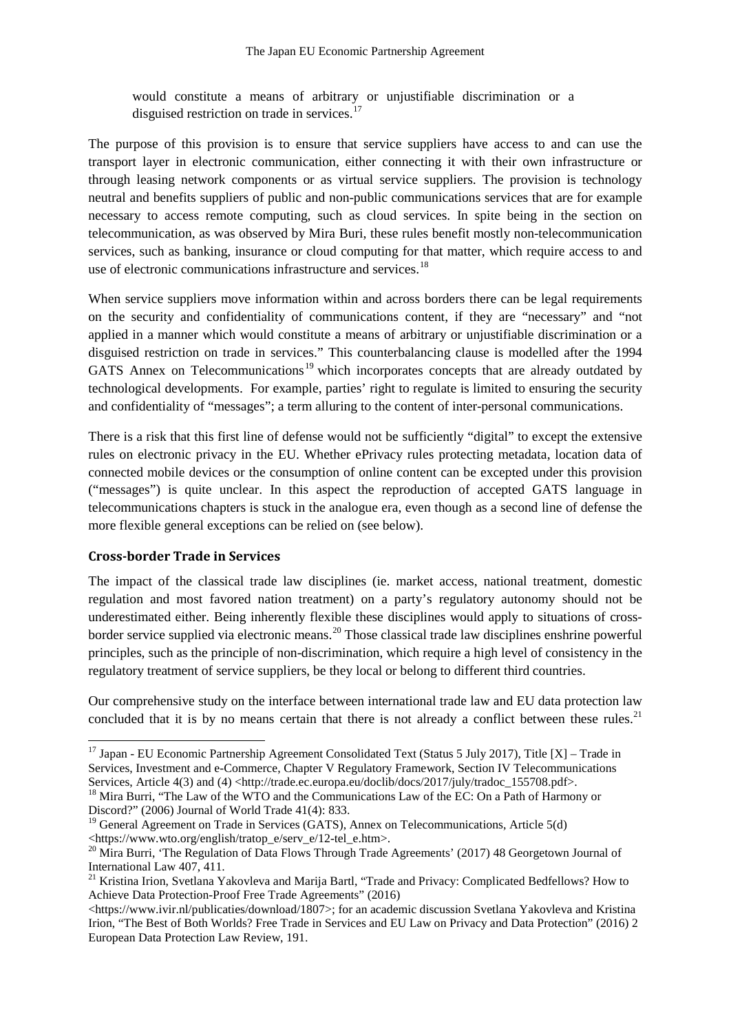would constitute a means of arbitrary or unjustifiable discrimination or a disguised restriction on trade in services.<sup>[17](#page-5-0)</sup>

The purpose of this provision is to ensure that service suppliers have access to and can use the transport layer in electronic communication, either connecting it with their own infrastructure or through leasing network components or as virtual service suppliers. The provision is technology neutral and benefits suppliers of public and non-public communications services that are for example necessary to access remote computing, such as cloud services. In spite being in the section on telecommunication, as was observed by Mira Buri, these rules benefit mostly non-telecommunication services, such as banking, insurance or cloud computing for that matter, which require access to and use of electronic communications infrastructure and services.<sup>[18](#page-5-1)</sup>

When service suppliers move information within and across borders there can be legal requirements on the security and confidentiality of communications content, if they are "necessary" and "not applied in a manner which would constitute a means of arbitrary or unjustifiable discrimination or a disguised restriction on trade in services." This counterbalancing clause is modelled after the 1994 GATS Annex on Telecommunications<sup>[19](#page-5-2)</sup> which incorporates concepts that are already outdated by technological developments. For example, parties' right to regulate is limited to ensuring the security and confidentiality of "messages"; a term alluring to the content of inter-personal communications.

There is a risk that this first line of defense would not be sufficiently "digital" to except the extensive rules on electronic privacy in the EU. Whether ePrivacy rules protecting metadata, location data of connected mobile devices or the consumption of online content can be excepted under this provision ("messages") is quite unclear. In this aspect the reproduction of accepted GATS language in telecommunications chapters is stuck in the analogue era, even though as a second line of defense the more flexible general exceptions can be relied on (see below).

#### **Cross-border Trade in Services**

The impact of the classical trade law disciplines (ie. market access, national treatment, domestic regulation and most favored nation treatment) on a party's regulatory autonomy should not be underestimated either. Being inherently flexible these disciplines would apply to situations of crossborder service supplied via electronic means. [20](#page-5-3) Those classical trade law disciplines enshrine powerful principles, such as the principle of non-discrimination, which require a high level of consistency in the regulatory treatment of service suppliers, be they local or belong to different third countries.

Our comprehensive study on the interface between international trade law and EU data protection law concluded that it is by no means certain that there is not already a conflict between these rules. $^{21}$  $^{21}$  $^{21}$ 

<span id="page-5-0"></span><sup>&</sup>lt;sup>17</sup> Japan - EU Economic Partnership Agreement Consolidated Text (Status 5 July 2017), Title [X] – Trade in Services, Investment and e-Commerce, Chapter V Regulatory Framework, Section IV Telecommunications<br>Services, Article 4(3) and (4) <http://trade.ec.europa.eu/doclib/docs/2017/july/tradoc\_155708.pdf>.

<span id="page-5-1"></span> $^{18}$  Mira Burri, "The Law of the WTO and the Communications Law of the EC: On a Path of Harmony or Discord?" (2006) Journal of World Trade 41(4): 833.<br><sup>19</sup> General Agreement on Trade in Services (GATS), Annex on Telecommunications, Article 5(d)

<span id="page-5-2"></span><sup>&</sup>lt;https://www.wto.org/english/tratop\_e/serv\_e/12-tel\_e.htm>. <sup>20</sup> Mira Burri, 'The Regulation of Data Flows Through Trade Agreements' (2017) 48 Georgetown Journal of

<span id="page-5-3"></span>International Law 407, 411.

<span id="page-5-4"></span><sup>&</sup>lt;sup>21</sup> Kristina Irion, Svetlana Yakovleva and Marija Bartl, "Trade and Privacy: Complicated Bedfellows? How to Achieve Data Protection-Proof Free Trade Agreements" (2016)

<sup>&</sup>lt;https://www.ivir.nl/publicaties/download/1807>; for an academic discussion Svetlana Yakovleva and Kristina Irion, "The Best of Both Worlds? Free Trade in Services and EU Law on Privacy and Data Protection" (2016) 2 European Data Protection Law Review, 191.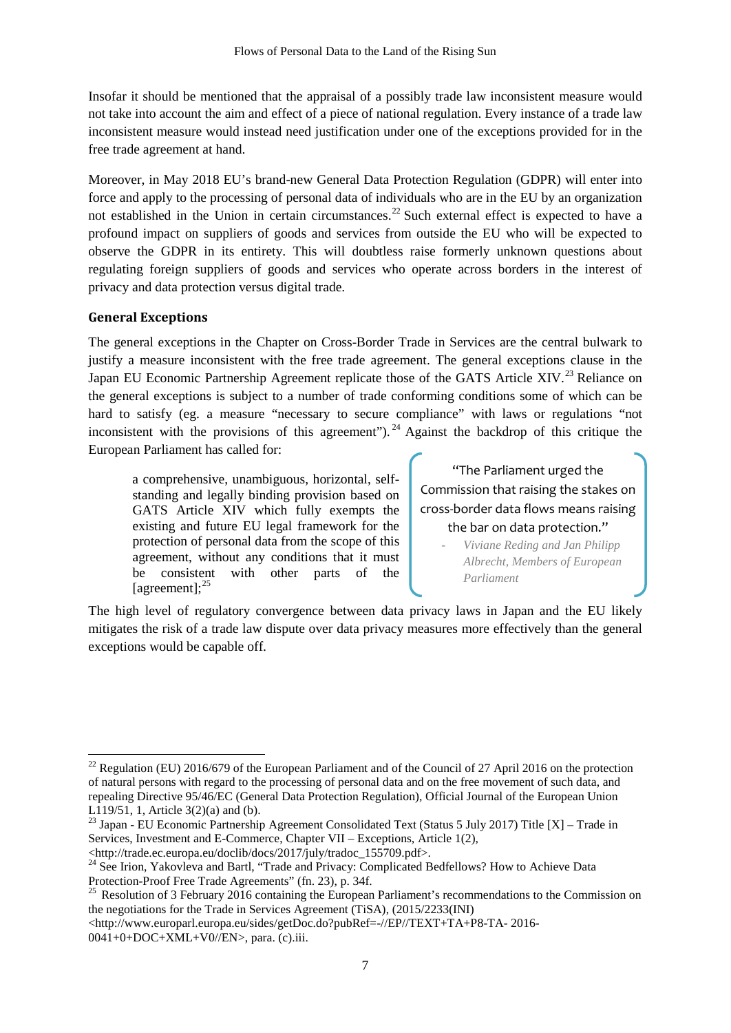Insofar it should be mentioned that the appraisal of a possibly trade law inconsistent measure would not take into account the aim and effect of a piece of national regulation. Every instance of a trade law inconsistent measure would instead need justification under one of the exceptions provided for in the free trade agreement at hand.

Moreover, in May 2018 EU's brand-new General Data Protection Regulation (GDPR) will enter into force and apply to the processing of personal data of individuals who are in the EU by an organization not established in the Union in certain circumstances.<sup>[22](#page-6-0)</sup> Such external effect is expected to have a profound impact on suppliers of goods and services from outside the EU who will be expected to observe the GDPR in its entirety. This will doubtless raise formerly unknown questions about regulating foreign suppliers of goods and services who operate across borders in the interest of privacy and data protection versus digital trade.

#### **General Exceptions**

The general exceptions in the Chapter on Cross-Border Trade in Services are the central bulwark to justify a measure inconsistent with the free trade agreement. The general exceptions clause in the Japan EU Economic Partnership Agreement replicate those of the GATS Article XIV.<sup>[23](#page-6-1)</sup> Reliance on the general exceptions is subject to a number of trade conforming conditions some of which can be hard to satisfy (eg. a measure "necessary to secure compliance" with laws or regulations "not inconsistent with the provisions of this agreement"). <sup>[24](#page-6-2)</sup> Against the backdrop of this critique the European Parliament has called for:

a comprehensive, unambiguous, horizontal, selfstanding and legally binding provision based on GATS Article XIV which fully exempts the existing and future EU legal framework for the protection of personal data from the scope of this agreement, without any conditions that it must be consistent with other parts of the [agreement]; $^{25}$  $^{25}$  $^{25}$ 

"The Parliament urged the Commission that raising the stakes on cross-border data flows means raising the bar on data protection."

> - *Viviane Reding and Jan Philipp Albrecht, Members of European Parliament*

The high level of regulatory convergence between data privacy laws in Japan and the EU likely mitigates the risk of a trade law dispute over data privacy measures more effectively than the general exceptions would be capable off.

<span id="page-6-0"></span> $^{22}$  Regulation (EU) 2016/679 of the European Parliament and of the Council of 27 April 2016 on the protection of natural persons with regard to the processing of personal data and on the free movement of such data, and repealing Directive 95/46/EC (General Data Protection Regulation), Official Journal of the European Union L119/51, 1, Article 3(2)(a) and (b).

<span id="page-6-1"></span><sup>&</sup>lt;sup>23</sup> Japan - EU Economic Partnership Agreement Consolidated Text (Status 5 July 2017) Title [X] – Trade in Services, Investment and E-Commerce, Chapter VII – Exceptions, Article 1(2),

<sup>&</sup>lt;http://trade.ec.europa.eu/doclib/docs/2017/july/tradoc\_155709.pdf>.

<span id="page-6-2"></span><sup>&</sup>lt;sup>24</sup> See Irion, Yakovleva and Bartl, "Trade and Privacy: Complicated Bedfellows? How to Achieve Data Protection-Proof Free Trade Agreements" (fn. 23), p. 34f.

<span id="page-6-3"></span><sup>&</sup>lt;sup>25</sup> Resolution of 3 February 2016 containing the European Parliament's recommendations to the Commission on the negotiations for the Trade in Services Agreement (TiSA), (2015/2233(INI)

<sup>&</sup>lt;http://www.europarl.europa.eu/sides/getDoc.do?pubRef=-//EP//TEXT+TA+P8-TA- 2016- 0041+0+DOC+XML+V0//EN>, para. (c).iii.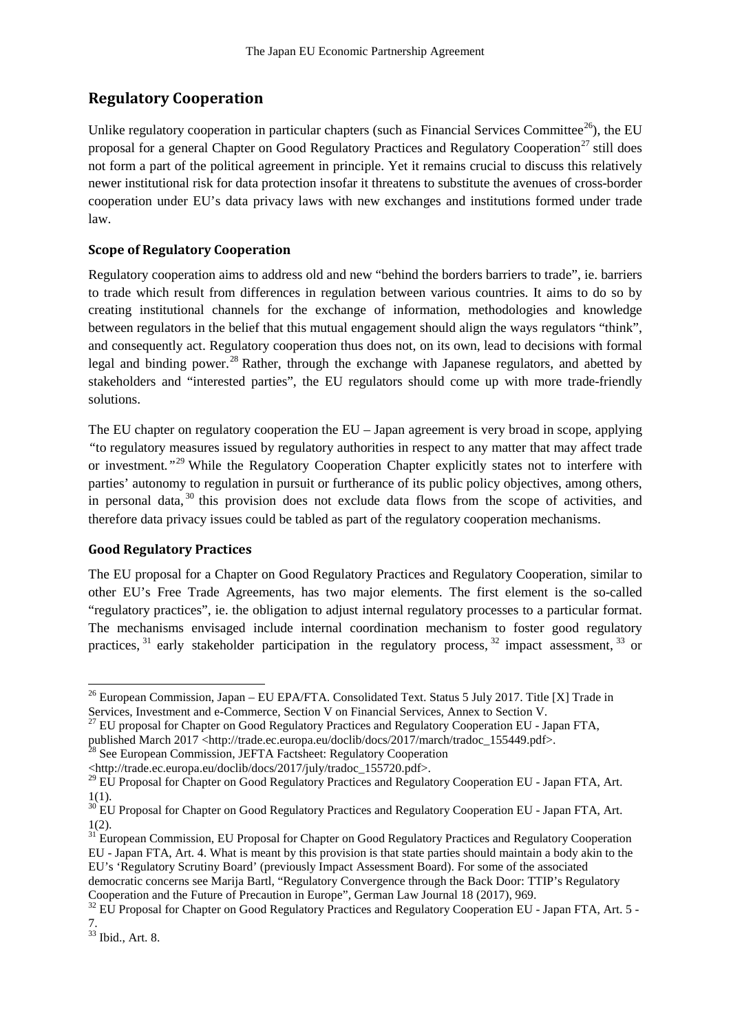## **Regulatory Cooperation**

Unlike regulatory cooperation in particular chapters (such as Financial Services Committee<sup>[26](#page-7-0)</sup>), the EU proposal for a general Chapter on Good Regulatory Practices and Regulatory Cooperation<sup>[27](#page-7-1)</sup> still does not form a part of the political agreement in principle. Yet it remains crucial to discuss this relatively newer institutional risk for data protection insofar it threatens to substitute the avenues of cross-border cooperation under EU's data privacy laws with new exchanges and institutions formed under trade law.

#### **Scope of Regulatory Cooperation**

Regulatory cooperation aims to address old and new "behind the borders barriers to trade", ie. barriers to trade which result from differences in regulation between various countries. It aims to do so by creating institutional channels for the exchange of information, methodologies and knowledge between regulators in the belief that this mutual engagement should align the ways regulators "think", and consequently act. Regulatory cooperation thus does not, on its own, lead to decisions with formal legal and binding power.<sup>[28](#page-7-2)</sup> Rather, through the exchange with Japanese regulators, and abetted by stakeholders and "interested parties", the EU regulators should come up with more trade-friendly solutions.

The EU chapter on regulatory cooperation the EU – Japan agreement is very broad in scope, applying *"*to regulatory measures issued by regulatory authorities in respect to any matter that may affect trade or investment*."*[29](#page-7-3) While the Regulatory Cooperation Chapter explicitly states not to interfere with parties' autonomy to regulation in pursuit or furtherance of its public policy objectives, among others, in personal data,<sup>[30](#page-7-4)</sup> this provision does not exclude data flows from the scope of activities, and therefore data privacy issues could be tabled as part of the regulatory cooperation mechanisms.

#### **Good Regulatory Practices**

The EU proposal for a Chapter on Good Regulatory Practices and Regulatory Cooperation, similar to other EU's Free Trade Agreements, has two major elements. The first element is the so-called "regulatory practices", ie. the obligation to adjust internal regulatory processes to a particular format. The mechanisms envisaged include internal coordination mechanism to foster good regulatory practices,  $31$  early stakeholder participation in the regulatory process,  $32$  impact assessment,  $33$  or

<span id="page-7-1"></span>

<span id="page-7-0"></span><sup>&</sup>lt;sup>26</sup> European Commission, Japan – EU EPA/FTA. Consolidated Text. Status 5 July 2017. Title [X] Trade in Services, Investment and e-Commerce, Section V on Financial Services, Annex to Section V.<br><sup>27</sup> EU proposal for Chapter on Good Regulatory Practices and Regulatory Cooperation EU - Japan FTA,

published March 2017 <http://trade.ec.europa.eu/doclib/docs/2017/march/tradoc\_155449.pdf>.

<span id="page-7-2"></span><sup>&</sup>lt;sup>28</sup> See European Commission, JEFTA Factsheet: Regulatory Cooperation

<span id="page-7-3"></span><sup>&</sup>lt;http://trade.ec.europa.eu/doclib/docs/2017/july/tradoc\_155720.pdf>. 29 EU Proposal for Chapter on Good Regulatory Practices and Regulatory Cooperation EU - Japan FTA, Art. 1(1).

<span id="page-7-4"></span> $30$  EU Proposal for Chapter on Good Regulatory Practices and Regulatory Cooperation EU - Japan FTA, Art. 1(2).

<span id="page-7-5"></span><sup>&</sup>lt;sup>31</sup> European Commission, EU Proposal for Chapter on Good Regulatory Practices and Regulatory Cooperation EU - Japan FTA, Art. 4. What is meant by this provision is that state parties should maintain a body akin to the EU's 'Regulatory Scrutiny Board' (previously Impact Assessment Board). For some of the associated democratic concerns see Marija Bartl, "Regulatory Convergence through the Back Door: TTIP's Regulatory Cooperation and the Future of Precaution in Europe", German Law Journal 18 (2017), 969.

<span id="page-7-6"></span> $^{32}$  EU Proposal for Chapter on Good Regulatory Practices and Regulatory Cooperation EU - Japan FTA, Art. 5 -7.

<span id="page-7-7"></span><sup>33</sup> Ibid., Art. 8.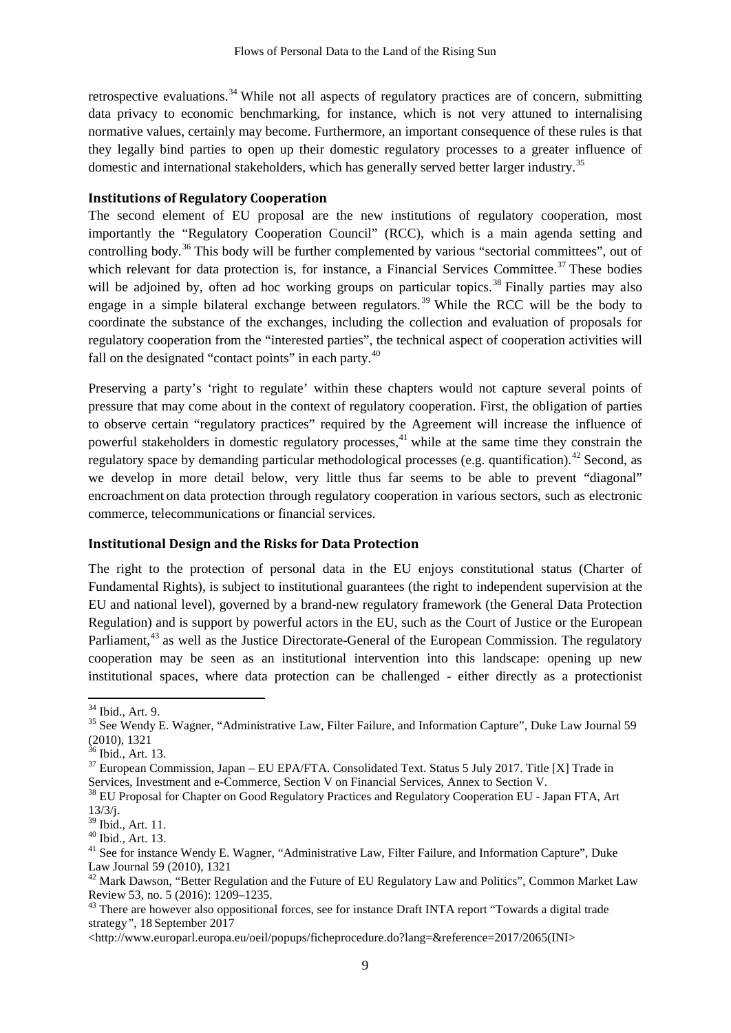retrospective evaluations.<sup>[34](#page-8-0)</sup> While not all aspects of regulatory practices are of concern, submitting data privacy to economic benchmarking, for instance, which is not very attuned to internalising normative values, certainly may become. Furthermore, an important consequence of these rules is that they legally bind parties to open up their domestic regulatory processes to a greater influence of domestic and international stakeholders, which has generally served better larger industry.<sup>[35](#page-8-1)</sup>

#### **Institutions of Regulatory Cooperation**

The second element of EU proposal are the new institutions of regulatory cooperation, most importantly the "Regulatory Cooperation Council" (RCC), which is a main agenda setting and controlling body.<sup>[36](#page-8-2)</sup> This body will be further complemented by various "sectorial committees", out of which relevant for data protection is, for instance, a Financial Services Committee.<sup>[37](#page-8-3)</sup> These bodies will be adjoined by, often ad hoc working groups on particular topics.<sup>[38](#page-8-4)</sup> Finally parties may also engage in a simple bilateral exchange between regulators.<sup>[39](#page-8-5)</sup> While the RCC will be the body to coordinate the substance of the exchanges, including the collection and evaluation of proposals for regulatory cooperation from the "interested parties", the technical aspect of cooperation activities will fall on the designated "contact points" in each party.<sup>[40](#page-8-6)</sup>

Preserving a party's 'right to regulate' within these chapters would not capture several points of pressure that may come about in the context of regulatory cooperation. First, the obligation of parties to observe certain "regulatory practices" required by the Agreement will increase the influence of powerful stakeholders in domestic regulatory processes,<sup> $41$ </sup> while at the same time they constrain the regulatory space by demanding particular methodological processes (e.g. quantification).<sup>[42](#page-8-8)</sup> Second, as we develop in more detail below, very little thus far seems to be able to prevent "diagonal" encroachment on data protection through regulatory cooperation in various sectors, such as electronic commerce, telecommunications or financial services.

#### **Institutional Design and the Risks for Data Protection**

The right to the protection of personal data in the EU enjoys constitutional status (Charter of Fundamental Rights), is subject to institutional guarantees (the right to independent supervision at the EU and national level), governed by a brand-new regulatory framework (the General Data Protection Regulation) and is support by powerful actors in the EU, such as the Court of Justice or the European Parliament,<sup>[43](#page-8-9)</sup> as well as the Justice Directorate-General of the European Commission. The regulatory cooperation may be seen as an institutional intervention into this landscape: opening up new institutional spaces, where data protection can be challenged - either directly as a protectionist

<span id="page-8-1"></span><span id="page-8-0"></span> $34$  Ibid., Art. 9.<br><sup>35</sup> See Wendy E. Wagner, "Administrative Law, Filter Failure, and Information Capture", Duke Law Journal 59  $(2010)$ , 1321<br><sup>36</sup> Ibid., Art. 13.

<span id="page-8-3"></span><span id="page-8-2"></span> $37$  European Commission, Japan – EU EPA/FTA. Consolidated Text. Status 5 July 2017. Title [X] Trade in Services, Investment and e-Commerce, Section V on Financial Services, Annex to Section V.

<span id="page-8-4"></span><sup>&</sup>lt;sup>38</sup> EU Proposal for Chapter on Good Regulatory Practices and Regulatory Cooperation EU - Japan FTA, Art  $13/3$ /j.<br><sup>39</sup> Ibid., Art. 11.

<span id="page-8-7"></span><span id="page-8-6"></span><span id="page-8-5"></span><sup>&</sup>lt;sup>40</sup> Ibid., Art. 13.  $\frac{40 \text{}}{41}$  See for instance Wendy E. Wagner, "Administrative Law, Filter Failure, and Information Capture", Duke Law Journal 59 (2010), 1321

<span id="page-8-8"></span> $42$  Mark Dawson, "Better Regulation and the Future of EU Regulatory Law and Politics", Common Market Law Review 53, no. 5 (2016): 1209–1235.<br><sup>43</sup> There are however also oppositional forces, see for instance Draft INTA report "Towards a digital trade"

<span id="page-8-9"></span>strategy*"*, 18 September 2017

<sup>&</sup>lt;http://www.europarl.europa.eu/oeil/popups/ficheprocedure.do?lang=&reference=2017/2065(INI>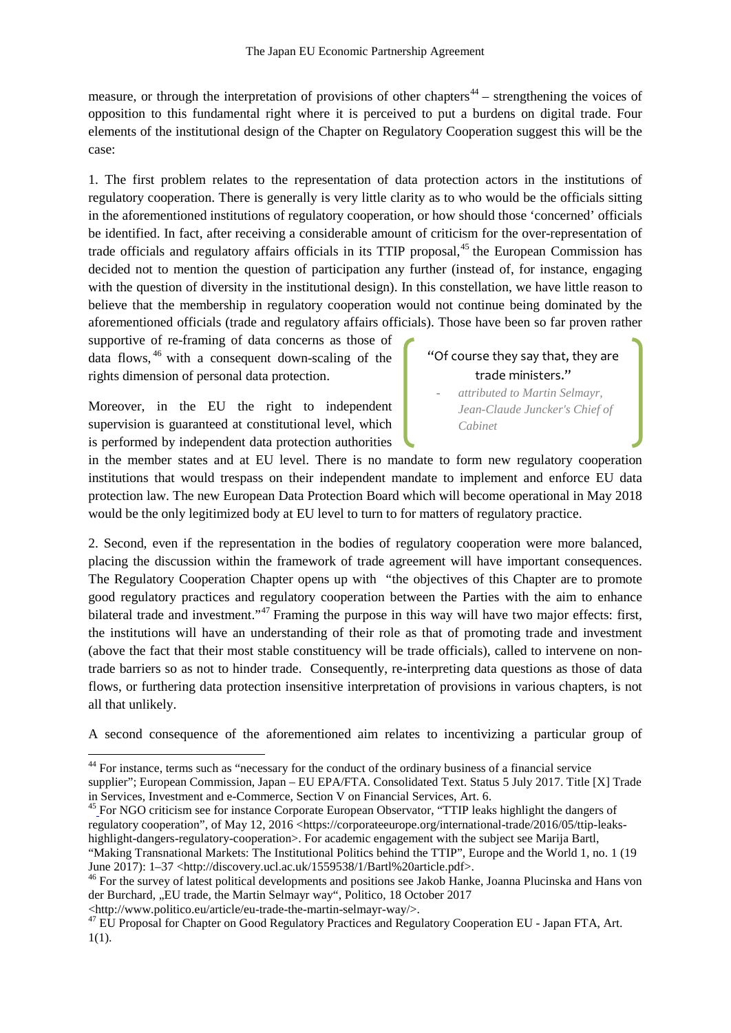measure, or through the interpretation of provisions of other chapters<sup>[44](#page-9-0)</sup> – strengthening the voices of opposition to this fundamental right where it is perceived to put a burdens on digital trade. Four elements of the institutional design of the Chapter on Regulatory Cooperation suggest this will be the case:

1. The first problem relates to the representation of data protection actors in the institutions of regulatory cooperation. There is generally is very little clarity as to who would be the officials sitting in the aforementioned institutions of regulatory cooperation, or how should those 'concerned' officials be identified. In fact, after receiving a considerable amount of criticism for the over-representation of trade officials and regulatory affairs officials in its TTIP proposal,<sup>[45](#page-9-1)</sup> the European Commission has decided not to mention the question of participation any further (instead of, for instance, engaging with the question of diversity in the institutional design). In this constellation, we have little reason to believe that the membership in regulatory cooperation would not continue being dominated by the aforementioned officials (trade and regulatory affairs officials). Those have been so far proven rather

supportive of re-framing of data concerns as those of data flows, [46](#page-9-2) with a consequent down-scaling of the rights dimension of personal data protection.

Moreover, in the EU the right to independent supervision is guaranteed at constitutional level, which is performed by independent data protection authorities

### "Of course they say that, they are trade ministers."

**-** *attributed to Martin Selmayr, Jean-Claude Juncker's Chief of Cabinet* 

in the member states and at EU level. There is no mandate to form new regulatory cooperation institutions that would trespass on their independent mandate to implement and enforce EU data protection law. The new European Data Protection Board which will become operational in May 2018 would be the only legitimized body at EU level to turn to for matters of regulatory practice.

2. Second, even if the representation in the bodies of regulatory cooperation were more balanced, placing the discussion within the framework of trade agreement will have important consequences. The Regulatory Cooperation Chapter opens up with "the objectives of this Chapter are to promote good regulatory practices and regulatory cooperation between the Parties with the aim to enhance bilateral trade and investment."<sup>[47](#page-9-3)</sup> Framing the purpose in this way will have two major effects: first, the institutions will have an understanding of their role as that of promoting trade and investment (above the fact that their most stable constituency will be trade officials), called to intervene on nontrade barriers so as not to hinder trade. Consequently, re-interpreting data questions as those of data flows, or furthering data protection insensitive interpretation of provisions in various chapters, is not all that unlikely.

A second consequence of the aforementioned aim relates to incentivizing a particular group of

<span id="page-9-0"></span><sup>&</sup>lt;sup>44</sup> For instance, terms such as "necessary for the conduct of the ordinary business of a financial service supplier"; European Commission, Japan – EU EPA/FTA. Consolidated Text. Status 5 July 2017. Title [X] Trade in Services, Investment and e-Commerce, Section V on Financial Services, Art. 6.

<span id="page-9-1"></span> $^{45}$  For NGO criticism see for instance Corporate European Observator, "TTIP leaks highlight the dangers of regulatory cooperation", of May 12, 2016 <https://corporateeurope.org/international-trade/2016/05/ttip-leakshighlight-dangers-regulatory-cooperation>. For academic engagement with the subject see Marija Bartl,

<sup>&</sup>quot;Making Transnational Markets: The Institutional Politics behind the TTIP", Europe and the World 1, no. 1 (19 June 2017): 1–37 <http://discovery.ucl.ac.uk/1559538/1/Bartl%20article.pdf>. 46 For the survey of latest political developments and positions see Jakob Hanke, Joanna Plucinska and Hans von

<span id="page-9-2"></span>der Burchard, "EU trade, the Martin Selmayr way", Politico, 18 October 2017

<span id="page-9-3"></span><sup>&</sup>lt;http://www.politico.eu/article/eu-trade-the-martin-selmayr-way/>. 47 EU Proposal for Chapter on Good Regulatory Practices and Regulatory Cooperation EU - Japan FTA, Art. 1(1).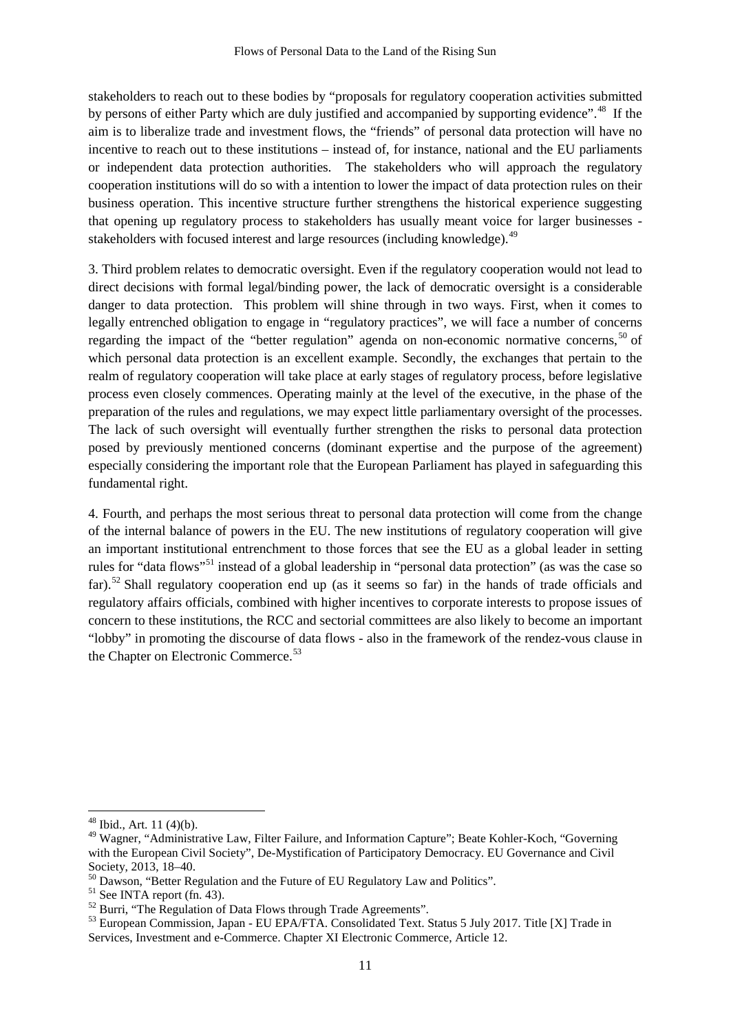stakeholders to reach out to these bodies by "proposals for regulatory cooperation activities submitted by persons of either Party which are duly justified and accompanied by supporting evidence".<sup>[48](#page-10-0)</sup> If the aim is to liberalize trade and investment flows, the "friends" of personal data protection will have no incentive to reach out to these institutions – instead of, for instance, national and the EU parliaments or independent data protection authorities. The stakeholders who will approach the regulatory cooperation institutions will do so with a intention to lower the impact of data protection rules on their business operation. This incentive structure further strengthens the historical experience suggesting that opening up regulatory process to stakeholders has usually meant voice for larger businesses - stakeholders with focused interest and large resources (including knowledge).<sup>[49](#page-10-1)</sup>

3. Third problem relates to democratic oversight. Even if the regulatory cooperation would not lead to direct decisions with formal legal/binding power, the lack of democratic oversight is a considerable danger to data protection. This problem will shine through in two ways. First, when it comes to legally entrenched obligation to engage in "regulatory practices", we will face a number of concerns regarding the impact of the "better regulation" agenda on non-economic normative concerns,  $50$  of which personal data protection is an excellent example. Secondly, the exchanges that pertain to the realm of regulatory cooperation will take place at early stages of regulatory process, before legislative process even closely commences. Operating mainly at the level of the executive, in the phase of the preparation of the rules and regulations, we may expect little parliamentary oversight of the processes. The lack of such oversight will eventually further strengthen the risks to personal data protection posed by previously mentioned concerns (dominant expertise and the purpose of the agreement) especially considering the important role that the European Parliament has played in safeguarding this fundamental right.

4. Fourth, and perhaps the most serious threat to personal data protection will come from the change of the internal balance of powers in the EU. The new institutions of regulatory cooperation will give an important institutional entrenchment to those forces that see the EU as a global leader in setting rules for "data flows"[51](#page-10-3) instead of a global leadership in "personal data protection" (as was the case so far).<sup>[52](#page-10-4)</sup> Shall regulatory cooperation end up (as it seems so far) in the hands of trade officials and regulatory affairs officials, combined with higher incentives to corporate interests to propose issues of concern to these institutions, the RCC and sectorial committees are also likely to become an important "lobby" in promoting the discourse of data flows - also in the framework of the rendez-vous clause in the Chapter on Electronic Commerce.<sup>[53](#page-10-5)</sup>

<span id="page-10-1"></span><span id="page-10-0"></span><sup>&</sup>lt;sup>48</sup> Ibid., Art. 11 (4)(b).<br><sup>49</sup> Wagner, "Administrative Law, Filter Failure, and Information Capture"; Beate Kohler-Koch, "Governing with the European Civil Society", De-Mystification of Participatory Democracy. EU Governance and Civil Society, 2013, 18–40.<br><sup>50</sup> Dawson, "Better Regulation and the Future of EU Regulatory Law and Politics".<br><sup>51</sup> See INTA report (fn. 43).<br><sup>52</sup> Burri, "The Regulation of Data Flows through Trade Agreements".<br><sup>52</sup> Burri, "The

<span id="page-10-2"></span>

<span id="page-10-3"></span>

<span id="page-10-4"></span>

<span id="page-10-5"></span>Services, Investment and e-Commerce. Chapter XI Electronic Commerce, Article 12.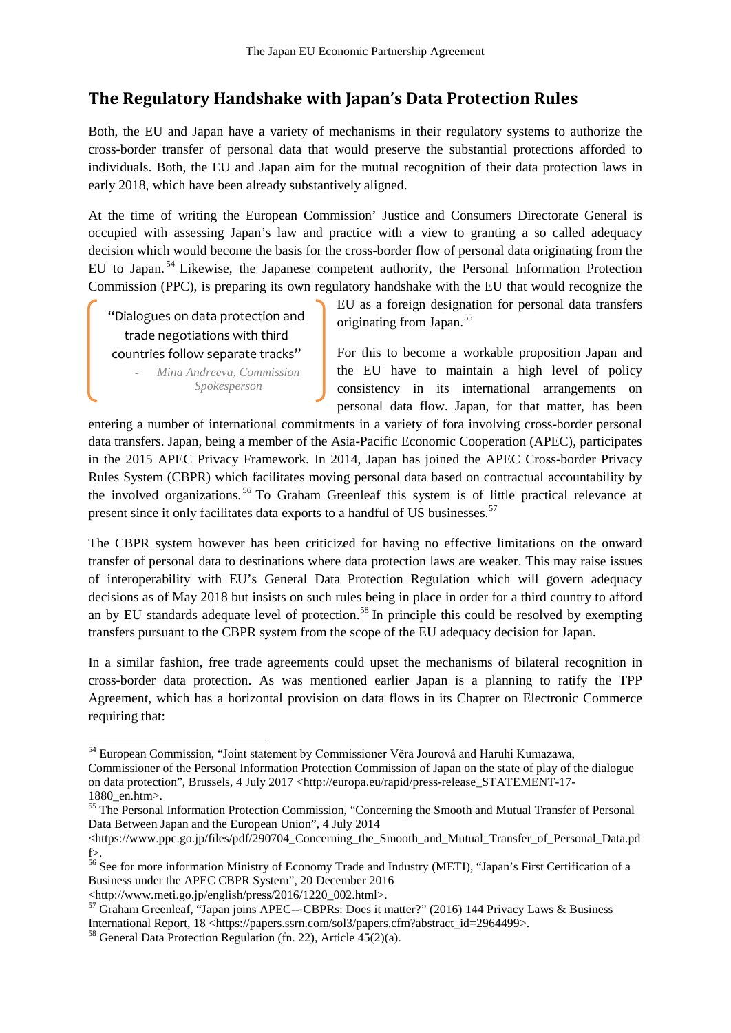# **The Regulatory Handshake with Japan's Data Protection Rules**

Both, the EU and Japan have a variety of mechanisms in their regulatory systems to authorize the cross-border transfer of personal data that would preserve the substantial protections afforded to individuals. Both, the EU and Japan aim for the mutual recognition of their data protection laws in early 2018, which have been already substantively aligned.

At the time of writing the European Commission' Justice and Consumers Directorate General is occupied with assessing Japan's law and practice with a view to granting a so called adequacy decision which would become the basis for the cross-border flow of personal data originating from the EU to Japan.<sup>[54](#page-11-0)</sup> Likewise, the Japanese competent authority, the Personal Information Protection Commission (PPC), is preparing its own regulatory handshake with the EU that would recognize the

"Dialogues on data protection and trade negotiations with third countries follow separate tracks"

- *Mina Andreeva, Commission Spokesperson*

EU as a foreign designation for personal data transfers originating from Japan. [55](#page-11-1)

For this to become a workable proposition Japan and the EU have to maintain a high level of policy consistency in its international arrangements on personal data flow. Japan, for that matter, has been

entering a number of international commitments in a variety of fora involving cross-border personal data transfers. Japan, being a member of the Asia-Pacific Economic Cooperation (APEC), participates in the 2015 APEC Privacy Framework. In 2014, Japan has joined the APEC Cross-border Privacy Rules System (CBPR) which facilitates moving personal data based on contractual accountability by the involved organizations. [56](#page-11-2) To Graham Greenleaf this system is of little practical relevance at present since it only facilitates data exports to a handful of US businesses.<sup>[57](#page-11-3)</sup>

The CBPR system however has been criticized for having no effective limitations on the onward transfer of personal data to destinations where data protection laws are weaker. This may raise issues of interoperability with EU's General Data Protection Regulation which will govern adequacy decisions as of May 2018 but insists on such rules being in place in order for a third country to afford an by EU standards adequate level of protection.<sup>[58](#page-11-4)</sup> In principle this could be resolved by exempting transfers pursuant to the CBPR system from the scope of the EU adequacy decision for Japan.

In a similar fashion, free trade agreements could upset the mechanisms of bilateral recognition in cross-border data protection. As was mentioned earlier Japan is a planning to ratify the TPP Agreement, which has a horizontal provision on data flows in its Chapter on Electronic Commerce requiring that:

<span id="page-11-0"></span> <sup>54</sup> European Commission, "Joint statement by Commissioner Věra Jourová and Haruhi Kumazawa,

Commissioner of the Personal Information Protection Commission of Japan on the state of play of the dialogue on data protection", Brussels, 4 July 2017 <http://europa.eu/rapid/press-release\_STATEMENT-17-

<span id="page-11-1"></span><sup>1880</sup>\_en.htm>.<br><sup>55</sup> The Personal Information Protection Commission, "Concerning the Smooth and Mutual Transfer of Personal Data Between Japan and the European Union", 4 July 2014

<sup>&</sup>lt;https://www.ppc.go.jp/files/pdf/290704\_Concerning\_the\_Smooth\_and\_Mutual\_Transfer\_of\_Personal\_Data.pd f>.

<span id="page-11-2"></span><sup>56</sup> See for more information Ministry of Economy Trade and Industry (METI), "Japan's First Certification of a Business under the APEC CBPR System", 20 December 2016<br>
<http://www.meti.go.jp/english/press/2016/1220 002.html>.

<span id="page-11-3"></span><sup>&</sup>lt;sup>57</sup> Graham Greenleaf, "Japan joins APEC---CBPRs: Does it matter?" (2016) 144 Privacy Laws & Business<br>International Report, 18 <https://papers.ssrn.com/sol3/papers.cfm?abstract\_id=2964499>.

<span id="page-11-4"></span> $^{58}$  General Data Protection Regulation (fn. 22), Article 45(2)(a).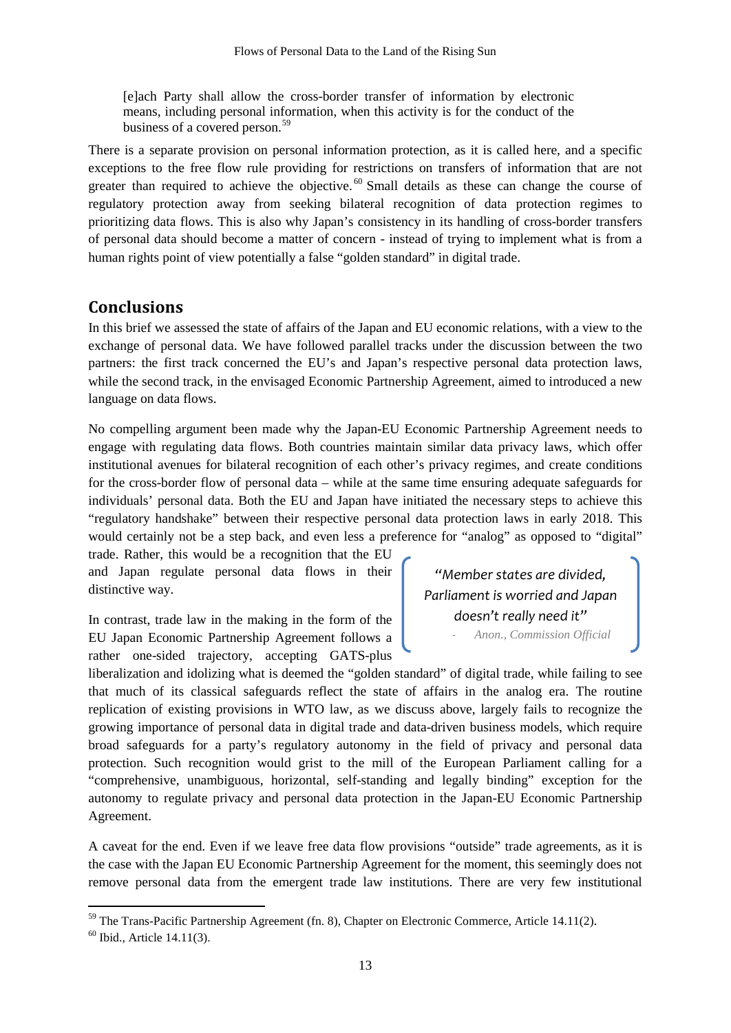[e]ach Party shall allow the cross-border transfer of information by electronic means, including personal information, when this activity is for the conduct of the business of a covered person.<sup>[59](#page-12-0)</sup>

There is a separate provision on personal information protection, as it is called here, and a specific exceptions to the free flow rule providing for restrictions on transfers of information that are not greater than required to achieve the objective.<sup>[60](#page-12-1)</sup> Small details as these can change the course of regulatory protection away from seeking bilateral recognition of data protection regimes to prioritizing data flows. This is also why Japan's consistency in its handling of cross-border transfers of personal data should become a matter of concern - instead of trying to implement what is from a human rights point of view potentially a false "golden standard" in digital trade.

### **Conclusions**

In this brief we assessed the state of affairs of the Japan and EU economic relations, with a view to the exchange of personal data. We have followed parallel tracks under the discussion between the two partners: the first track concerned the EU's and Japan's respective personal data protection laws, while the second track, in the envisaged Economic Partnership Agreement, aimed to introduced a new language on data flows.

No compelling argument been made why the Japan-EU Economic Partnership Agreement needs to engage with regulating data flows. Both countries maintain similar data privacy laws, which offer institutional avenues for bilateral recognition of each other's privacy regimes, and create conditions for the cross-border flow of personal data – while at the same time ensuring adequate safeguards for individuals' personal data. Both the EU and Japan have initiated the necessary steps to achieve this "regulatory handshake" between their respective personal data protection laws in early 2018. This would certainly not be a step back, and even less a preference for "analog" as opposed to "digital" trade. Rather, this would be a recognition that the EU

and Japan regulate personal data flows in their distinctive way.

In contrast, trade law in the making in the form of the EU Japan Economic Partnership Agreement follows a rather one-sided trajectory, accepting GATS-plus

*"Member states are divided, Parliament is worried and Japan doesn't really need it"* - *Anon., Commission Official*

liberalization and idolizing what is deemed the "golden standard" of digital trade, while failing to see that much of its classical safeguards reflect the state of affairs in the analog era. The routine replication of existing provisions in WTO law, as we discuss above, largely fails to recognize the growing importance of personal data in digital trade and data-driven business models, which require broad safeguards for a party's regulatory autonomy in the field of privacy and personal data protection. Such recognition would grist to the mill of the European Parliament calling for a "comprehensive, unambiguous, horizontal, self-standing and legally binding" exception for the autonomy to regulate privacy and personal data protection in the Japan-EU Economic Partnership Agreement.

A caveat for the end. Even if we leave free data flow provisions "outside" trade agreements, as it is the case with the Japan EU Economic Partnership Agreement for the moment, this seemingly does not remove personal data from the emergent trade law institutions. There are very few institutional

<span id="page-12-0"></span><sup>&</sup>lt;sup>59</sup> The Trans-Pacific Partnership Agreement (fn. 8), Chapter on Electronic Commerce, Article 14.11(2).

<span id="page-12-1"></span> $60$  Ibid., Article 14.11(3).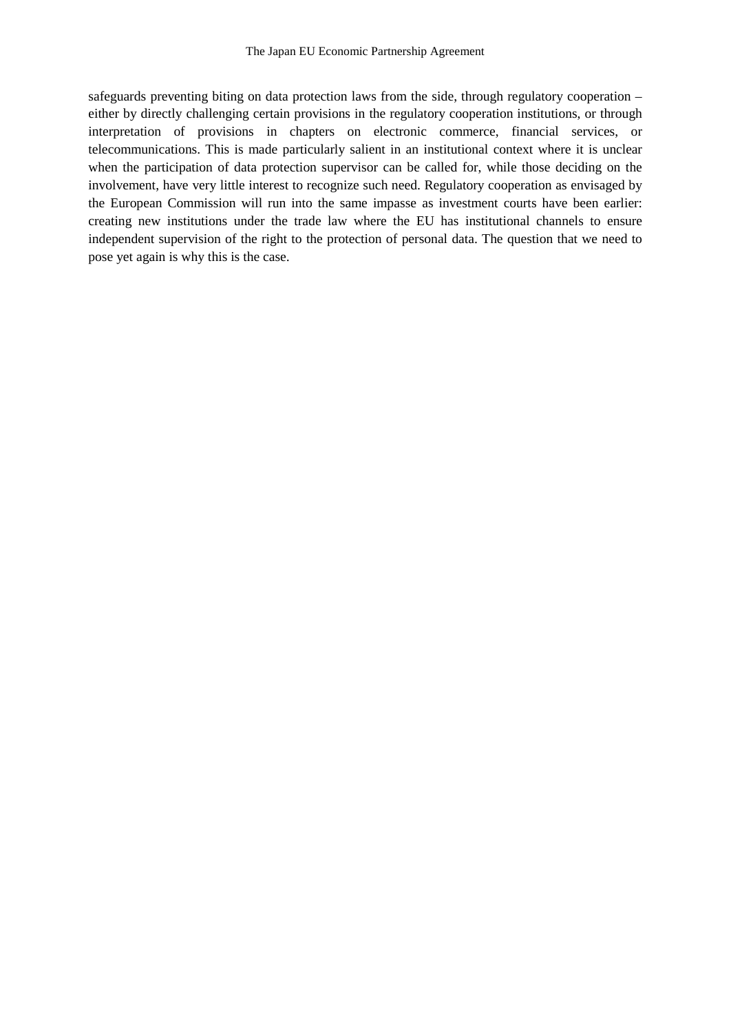safeguards preventing biting on data protection laws from the side, through regulatory cooperation – either by directly challenging certain provisions in the regulatory cooperation institutions, or through interpretation of provisions in chapters on electronic commerce, financial services, or telecommunications. This is made particularly salient in an institutional context where it is unclear when the participation of data protection supervisor can be called for, while those deciding on the involvement, have very little interest to recognize such need. Regulatory cooperation as envisaged by the European Commission will run into the same impasse as investment courts have been earlier: creating new institutions under the trade law where the EU has institutional channels to ensure independent supervision of the right to the protection of personal data. The question that we need to pose yet again is why this is the case.